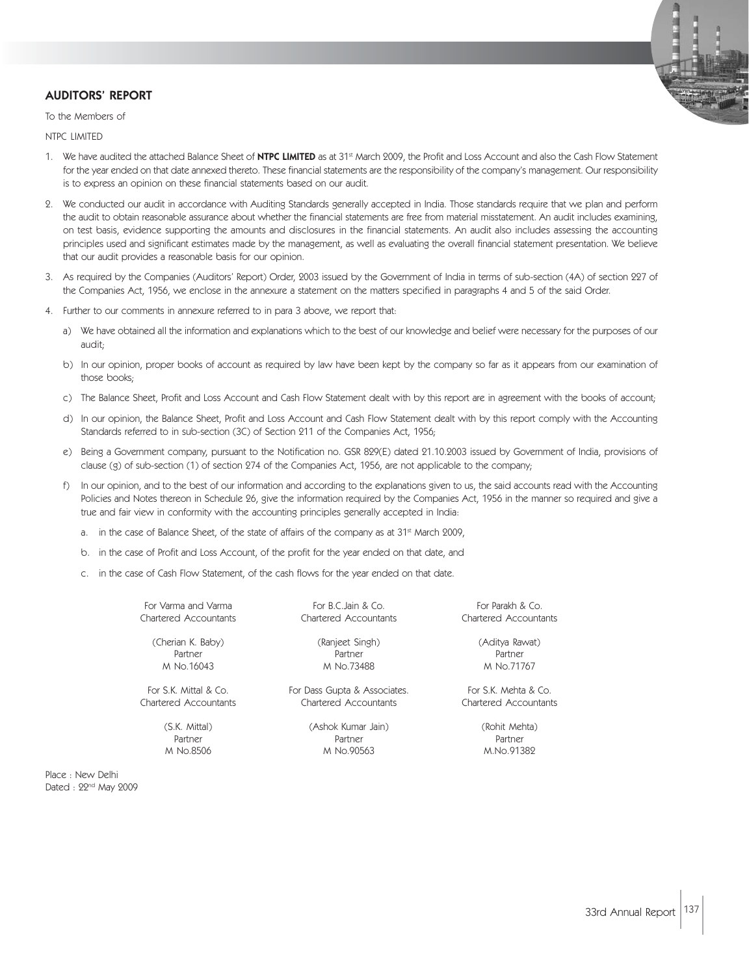## AUDITORS' REPORT

To the Members of

NTPC LIMITED

- 1. We have audited the attached Balance Sheet of NTPC LIMITED as at 31<sup>st</sup> March 2009, the Profit and Loss Account and also the Cash Flow Statement for the year ended on that date annexed thereto. These financial statements are the responsibility of the company's management. Our responsibility is to express an opinion on these financial statements based on our audit.
- 2. We conducted our audit in accordance with Auditing Standards generally accepted in India. Those standards require that we plan and perform the audit to obtain reasonable assurance about whether the financial statements are free from material misstatement. An audit includes examining, on test basis, evidence supporting the amounts and disclosures in the financial statements. An audit also includes assessing the accounting principles used and significant estimates made by the management, as well as evaluating the overall financial statement presentation. We believe that our audit provides a reasonable basis for our opinion.
- 3. As required by the Companies (Auditors' Report) Order, 2003 issued by the Government of India in terms of sub-section (4A) of section 227 of the Companies Act, 1956, we enclose in the annexure a statement on the matters specified in paragraphs 4 and 5 of the said Order.
- 4. Further to our comments in annexure referred to in para 3 above, we report that:
	- a) We have obtained all the information and explanations which to the best of our knowledge and belief were necessary for the purposes of our audit;
	- b) In our opinion, proper books of account as required by law have been kept by the company so far as it appears from our examination of those books;
	- c) The Balance Sheet, Profit and Loss Account and Cash Flow Statement dealt with by this report are in agreement with the books of account;
	- d) In our opinion, the Balance Sheet, Profit and Loss Account and Cash Flow Statement dealt with by this report comply with the Accounting Standards referred to in sub-section (3C) of Section 211 of the Companies Act, 1956;
	- e) Being a Government company, pursuant to the Notification no. GSR 829(E) dated 21.10.2003 issued by Government of India, provisions of clause (g) of sub-section (1) of section 274 of the Companies Act, 1956, are not applicable to the company;
	- f) In our opinion, and to the best of our information and according to the explanations given to us, the said accounts read with the Accounting Policies and Notes thereon in Schedule 26, give the information required by the Companies Act, 1956 in the manner so required and give a true and fair view in conformity with the accounting principles generally accepted in India:
		- a. in the case of Balance Sheet, of the state of affairs of the company as at 31<sup>st</sup> March 2009,
		- b. in the case of Profit and Loss Account, of the profit for the year ended on that date, and
		- c. in the case of Cash Flow Statement, of the cash flows for the year ended on that date.

For Varma and Varma For B.C. Jain & Co. For Branch & Co. For Parakh & Co. Chartered Accountants Chartered Accountants Chartered Accountants

(Cherian K. Baby) (Ranjeet Singh) (Aditya Rawat) Partner Partner Partner Partner Partner Partner Partner M No.16043 M No.73488 M No.71767

For S.K. Mittal & Co. For Dass Gupta & Associates. For S.K. Mehta & Co. Chartered Accountants Chartered Accountants Chartered Accountants

(S.K. Mittal) (Ashok Kumar Jain) (Rohit Mehta) Partner Partner Partner Partner Partner Partner Partner M No.8506 M No.90563 M.No.91382

Place : New Delhi Dated : 22<sup>nd</sup> May 2009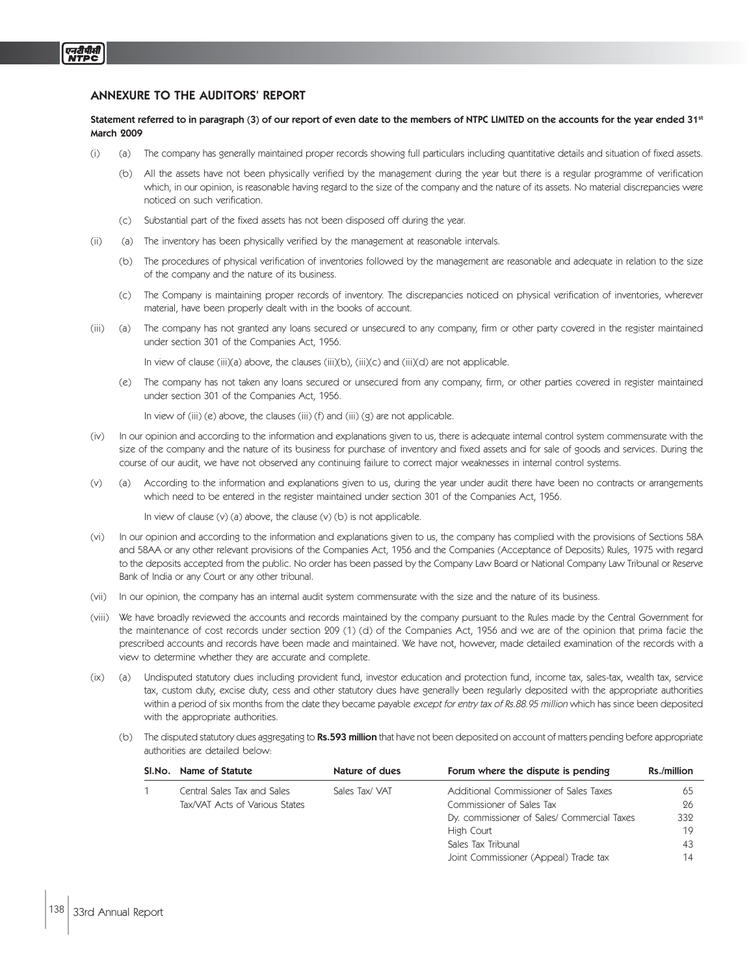## ANNEXURE TO THE AUDITORS' REPORT

Statement referred to in paragraph (3) of our report of even date to the members of NTPC LIMITED on the accounts for the year ended 31st March 2009

- (i) (a) The company has generally maintained proper records showing full particulars including quantitative details and situation of fixed assets.
	- (b) All the assets have not been physically verified by the management during the year but there is a regular programme of verification which, in our opinion, is reasonable having regard to the size of the company and the nature of its assets. No material discrepancies were noticed on such verification.
	- (c) Substantial part of the fixed assets has not been disposed off during the year.
- (ii) (a) The inventory has been physically verified by the management at reasonable intervals.
	- (b) The procedures of physical verification of inventories followed by the management are reasonable and adequate in relation to the size of the company and the nature of its business.
	- (c) The Company is maintaining proper records of inventory. The discrepancies noticed on physical verification of inventories, wherever material, have been properly dealt with in the books of account.
- (iii) (a) The company has not granted any loans secured or unsecured to any company, firm or other party covered in the register maintained under section 301 of the Companies Act, 1956.

In view of clause (iii)(a) above, the clauses (iii)(b), (iii)(c) and (iii)(d) are not applicable.

(e) The company has not taken any loans secured or unsecured from any company, firm, or other parties covered in register maintained under section 301 of the Companies Act, 1956.

In view of  $(iii)$  (e) above, the clauses  $(iii)$  (f) and  $(iii)$  (g) are not applicable.

- (iv) In our opinion and according to the information and explanations given to us, there is adequate internal control system commensurate with the size of the company and the nature of its business for purchase of inventory and fixed assets and for sale of goods and services. During the course of our audit, we have not observed any continuing failure to correct major weaknesses in internal control systems.
- (v) (a) According to the information and explanations given to us, during the year under audit there have been no contracts or arrangements which need to be entered in the register maintained under section 301 of the Companies Act, 1956.

In view of clause (v) (a) above, the clause (v) (b) is not applicable.

- (vi) In our opinion and according to the information and explanations given to us, the company has complied with the provisions of Sections 58A and 58AA or any other relevant provisions of the Companies Act, 1956 and the Companies (Acceptance of Deposits) Rules, 1975 with regard to the deposits accepted from the public. No order has been passed by the Company Law Board or National Company Law Tribunal or Reserve Bank of India or any Court or any other tribunal.
- (vii) In our opinion, the company has an internal audit system commensurate with the size and the nature of its business.
- (viii) We have broadly reviewed the accounts and records maintained by the company pursuant to the Rules made by the Central Government for the maintenance of cost records under section 209 (1) (d) of the Companies Act, 1956 and we are of the opinion that prima facie the prescribed accounts and records have been made and maintained. We have not, however, made detailed examination of the records with a view to determine whether they are accurate and complete.
- (ix) (a) Undisputed statutory dues including provident fund, investor education and protection fund, income tax, sales-tax, wealth tax, service tax, custom duty, excise duty, cess and other statutory dues have generally been regularly deposited with the appropriate authorities within a period of six months from the date they became payable except for entry tax of Rs.88.95 million which has since been deposited with the appropriate authorities.
	- (b) The disputed statutory dues aggregating to Rs.593 million that have not been deposited on account of matters pending before appropriate authorities are detailed below:

| SI.No. | Name of Statute                | Nature of dues | Forum where the dispute is pending          | Rs./million |
|--------|--------------------------------|----------------|---------------------------------------------|-------------|
|        | Central Sales Tax and Sales    | Sales Tax/VAT  | Additional Commissioner of Sales Taxes      | 65          |
|        | Tax/VAT Acts of Various States |                | Commissioner of Sales Tax                   | 26          |
|        |                                |                | Dy. commissioner of Sales/ Commercial Taxes | 332         |
|        |                                |                | High Court                                  | 19          |
|        |                                |                | Sales Tax Tribunal                          | 43          |
|        |                                |                | Joint Commissioner (Appeal) Trade tax       | 14          |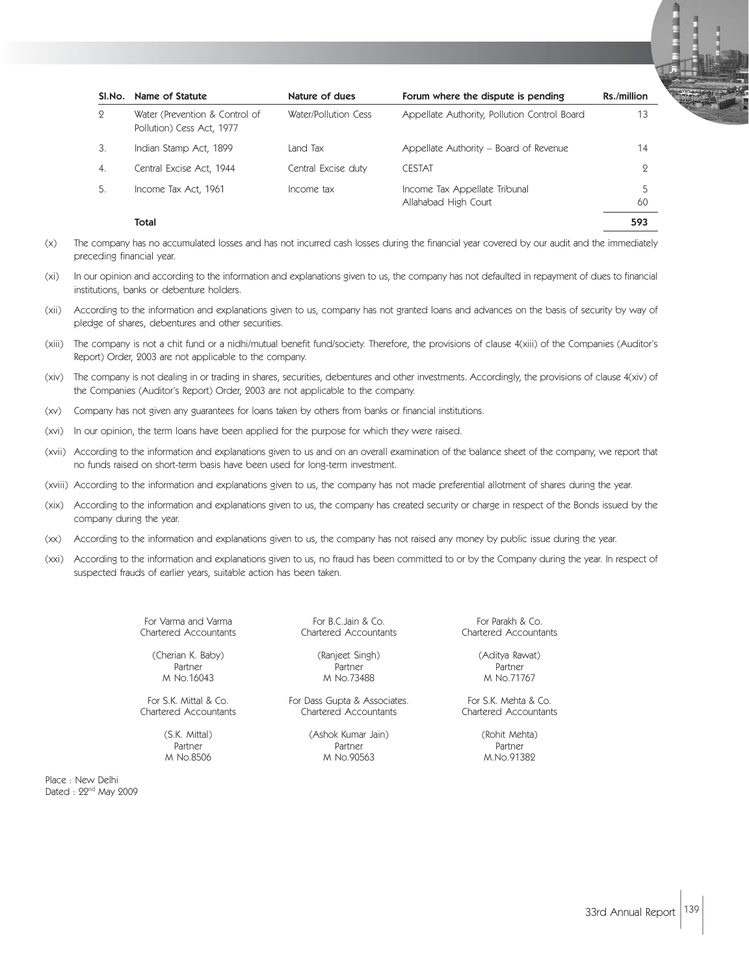| SI.No.        | Name of Statute                                             | Nature of dues       | Forum where the dispute is pending                    | Rs./million |
|---------------|-------------------------------------------------------------|----------------------|-------------------------------------------------------|-------------|
| $\mathcal{Q}$ | Water (Prevention & Control of<br>Pollution) Cess Act, 1977 | Water/Pollution Cess | Appellate Authority, Pollution Control Board          | 13          |
| 3.            | Indian Stamp Act, 1899                                      | Land Tax             | Appellate Authority – Board of Revenue                | 14          |
| 4.            | Central Excise Act, 1944                                    | Central Excise duty  | <b>CESTAT</b>                                         | 9           |
| 5.            | Income Tax Act, 1961                                        | Income tax           | Income Tax Appellate Tribunal<br>Allahabad High Court | 5<br>60     |
|               | Total                                                       |                      |                                                       | 593         |

- (x) The company has no accumulated losses and has not incurred cash losses during the financial year covered by our audit and the immediately preceding financial year.
- (xi) In our opinion and according to the information and explanations given to us, the company has not defaulted in repayment of dues to financial institutions, banks or debenture holders.
- (xii) According to the information and explanations given to us, company has not granted loans and advances on the basis of security by way of pledge of shares, debentures and other securities.
- (xiii) The company is not a chit fund or a nidhi/mutual benefit fund/society. Therefore, the provisions of clause 4(xiii) of the Companies (Auditor's Report) Order, 2003 are not applicable to the company.
- (xiv) The company is not dealing in or trading in shares, securities, debentures and other investments. Accordingly, the provisions of clause 4(xiv) of the Companies (Auditor's Report) Order, 2003 are not applicable to the company.
- (xv) Company has not given any guarantees for loans taken by others from banks or financial institutions.
- (xvi) In our opinion, the term loans have been applied for the purpose for which they were raised.
- (xvii) According to the information and explanations given to us and on an overall examination of the balance sheet of the company, we report that no funds raised on short-term basis have been used for long-term investment.
- (xviii) According to the information and explanations given to us, the company has not made preferential allotment of shares during the year.
- (xix) According to the information and explanations given to us, the company has created security or charge in respect of the Bonds issued by the company during the year.
- (xx) According to the information and explanations given to us, the company has not raised any money by public issue during the year.
- (xxi) According to the information and explanations given to us, no fraud has been committed to or by the Company during the year. In respect of suspected frauds of earlier years, suitable action has been taken.

For Varma and Varma For B.C.Jain & Co. For B.C.Jain & Co. For Parakh & Co. For Parakh & Co. For Parakh & Co. Fo<br>Chartered Accountants For Paraceus Chartered Accountants Chartered Accountants

(Cherian K. Baby) (Ranjeet Singh) (Aditya Rawat) M No.16043 M No.73488 M No.71767

Chartered Accountants

Partner Partner Partner Partner Partner Partner

For S.K. Mittal & Co. For Dass Gupta & Associates. For S.K. Mehta & Co.<br>Chartered Accountants Chartered Accountants Chartered Accountants Chartered Accountants Chartered Accountants Chartered Accountants

(S.K. Mittal) (Ashok Kumar Jain) (Rohit Mehta) Partner Partner Partner Partner Partner Partner M No.8506 M No.90563 M.No.91382

Place : New Delhi Dated : 22<sup>nd</sup> May 2009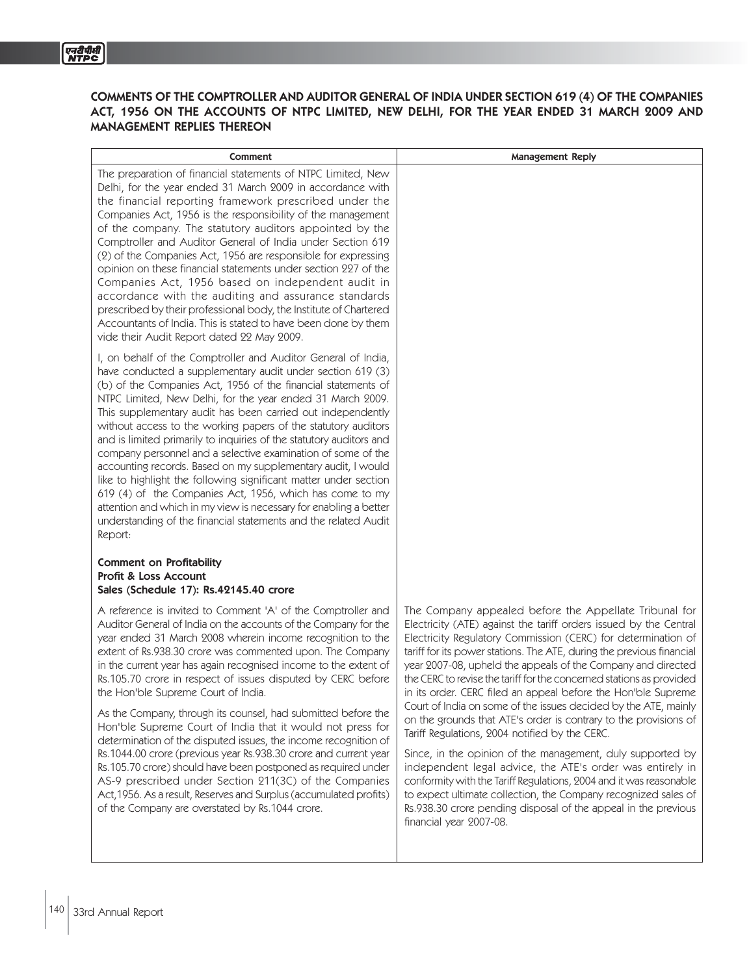## COMMENTS OF THE COMPTROLLER AND AUDITOR GENERAL OF INDIA UNDER SECTION 619 (4) OF THE COMPANIES ACT, 1956 ON THE ACCOUNTS OF NTPC LIMITED, NEW DELHI, FOR THE YEAR ENDED 31 MARCH 2009 AND MANAGEMENT REPLIES THEREON

| Comment                                                                                                                                                                                                                                                                                                                                                                                                                                                                                                                                                                                                                                                                                                                                                                                                                                                                                                                                                         | <b>Management Reply</b>                                                                                                                                                                                                                                                                                                                                                                                                                                                                                                                                                                                                                                                                                                                                                                                                                                                                                                                                                                                                                 |
|-----------------------------------------------------------------------------------------------------------------------------------------------------------------------------------------------------------------------------------------------------------------------------------------------------------------------------------------------------------------------------------------------------------------------------------------------------------------------------------------------------------------------------------------------------------------------------------------------------------------------------------------------------------------------------------------------------------------------------------------------------------------------------------------------------------------------------------------------------------------------------------------------------------------------------------------------------------------|-----------------------------------------------------------------------------------------------------------------------------------------------------------------------------------------------------------------------------------------------------------------------------------------------------------------------------------------------------------------------------------------------------------------------------------------------------------------------------------------------------------------------------------------------------------------------------------------------------------------------------------------------------------------------------------------------------------------------------------------------------------------------------------------------------------------------------------------------------------------------------------------------------------------------------------------------------------------------------------------------------------------------------------------|
| The preparation of financial statements of NTPC Limited, New<br>Delhi, for the year ended 31 March 2009 in accordance with<br>the financial reporting framework prescribed under the<br>Companies Act, 1956 is the responsibility of the management<br>of the company. The statutory auditors appointed by the<br>Comptroller and Auditor General of India under Section 619<br>(2) of the Companies Act, 1956 are responsible for expressing<br>opinion on these financial statements under section 227 of the<br>Companies Act, 1956 based on independent audit in<br>accordance with the auditing and assurance standards<br>prescribed by their professional body, the Institute of Chartered<br>Accountants of India. This is stated to have been done by them<br>vide their Audit Report dated 22 May 2009.                                                                                                                                               |                                                                                                                                                                                                                                                                                                                                                                                                                                                                                                                                                                                                                                                                                                                                                                                                                                                                                                                                                                                                                                         |
| I, on behalf of the Comptroller and Auditor General of India,<br>have conducted a supplementary audit under section 619 (3)<br>(b) of the Companies Act, 1956 of the financial statements of<br>NTPC Limited, New Delhi, for the year ended 31 March 2009.<br>This supplementary audit has been carried out independently<br>without access to the working papers of the statutory auditors<br>and is limited primarily to inquiries of the statutory auditors and<br>company personnel and a selective examination of some of the<br>accounting records. Based on my supplementary audit, I would<br>like to highlight the following significant matter under section<br>619 (4) of the Companies Act, 1956, which has come to my<br>attention and which in my view is necessary for enabling a better<br>understanding of the financial statements and the related Audit<br>Report:                                                                           |                                                                                                                                                                                                                                                                                                                                                                                                                                                                                                                                                                                                                                                                                                                                                                                                                                                                                                                                                                                                                                         |
| <b>Comment on Profitability</b><br><b>Profit &amp; Loss Account</b><br>Sales (Schedule 17): Rs.42145.40 crore                                                                                                                                                                                                                                                                                                                                                                                                                                                                                                                                                                                                                                                                                                                                                                                                                                                   |                                                                                                                                                                                                                                                                                                                                                                                                                                                                                                                                                                                                                                                                                                                                                                                                                                                                                                                                                                                                                                         |
| A reference is invited to Comment 'A' of the Comptroller and<br>Auditor General of India on the accounts of the Company for the<br>year ended 31 March 2008 wherein income recognition to the<br>extent of Rs.938.30 crore was commented upon. The Company<br>in the current year has again recognised income to the extent of<br>Rs.105.70 crore in respect of issues disputed by CERC before<br>the Hon'ble Supreme Court of India.<br>As the Company, through its counsel, had submitted before the<br>Hon'ble Supreme Court of India that it would not press for<br>determination of the disputed issues, the income recognition of<br>Rs.1044.00 crore (previous year Rs.938.30 crore and current year<br>Rs.105.70 crore) should have been postponed as required under<br>AS-9 prescribed under Section 211(3C) of the Companies<br>Act, 1956. As a result, Reserves and Surplus (accumulated profits)<br>of the Company are overstated by Rs.1044 crore. | The Company appealed before the Appellate Tribunal for<br>Electricity (ATE) against the tariff orders issued by the Central<br>Electricity Regulatory Commission (CERC) for determination of<br>tariff for its power stations. The ATE, during the previous financial<br>year 2007-08, upheld the appeals of the Company and directed<br>the CERC to revise the tariff for the concerned stations as provided<br>in its order. CERC filed an appeal before the Hon'ble Supreme<br>Court of India on some of the issues decided by the ATE, mainly<br>on the grounds that ATE's order is contrary to the provisions of<br>Tariff Regulations, 2004 notified by the CERC.<br>Since, in the opinion of the management, duly supported by<br>independent legal advice, the ATE's order was entirely in<br>conformity with the Tariff Regulations, 2004 and it was reasonable<br>to expect ultimate collection, the Company recognized sales of<br>Rs.938.30 crore pending disposal of the appeal in the previous<br>financial year 2007-08. |